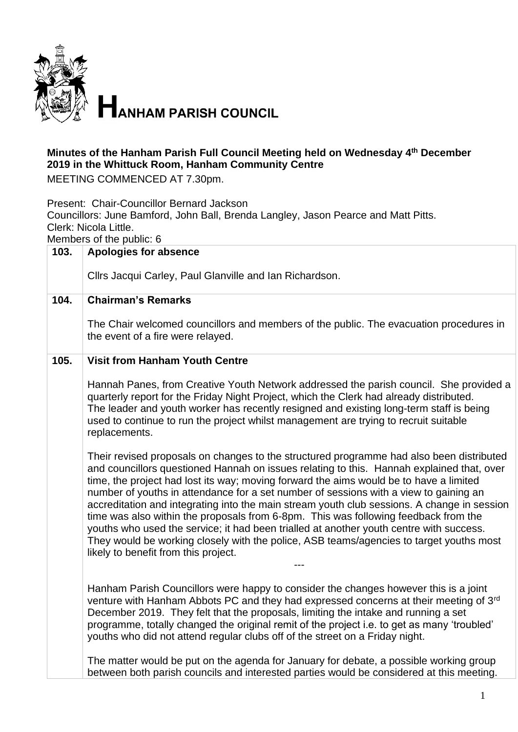

## **Minutes of the Hanham Parish Full Council Meeting held on Wednesday 4 th December 2019 in the Whittuck Room, Hanham Community Centre**

MEETING COMMENCED AT 7.30pm.

Present: Chair-Councillor Bernard Jackson Councillors: June Bamford, John Ball, Brenda Langley, Jason Pearce and Matt Pitts. Clerk: Nicola Little. Members of the public: 6

| 103. | <b>Apologies for absence</b>                                                                                                                                                                                                                                                                                                                                                                                                                                                                                                                                                                                                                                                                                                                                                                 |
|------|----------------------------------------------------------------------------------------------------------------------------------------------------------------------------------------------------------------------------------------------------------------------------------------------------------------------------------------------------------------------------------------------------------------------------------------------------------------------------------------------------------------------------------------------------------------------------------------------------------------------------------------------------------------------------------------------------------------------------------------------------------------------------------------------|
|      | Cllrs Jacqui Carley, Paul Glanville and Ian Richardson.                                                                                                                                                                                                                                                                                                                                                                                                                                                                                                                                                                                                                                                                                                                                      |
| 104. | <b>Chairman's Remarks</b>                                                                                                                                                                                                                                                                                                                                                                                                                                                                                                                                                                                                                                                                                                                                                                    |
|      | The Chair welcomed councillors and members of the public. The evacuation procedures in<br>the event of a fire were relayed.                                                                                                                                                                                                                                                                                                                                                                                                                                                                                                                                                                                                                                                                  |
| 105. | <b>Visit from Hanham Youth Centre</b>                                                                                                                                                                                                                                                                                                                                                                                                                                                                                                                                                                                                                                                                                                                                                        |
|      | Hannah Panes, from Creative Youth Network addressed the parish council. She provided a<br>quarterly report for the Friday Night Project, which the Clerk had already distributed.<br>The leader and youth worker has recently resigned and existing long-term staff is being<br>used to continue to run the project whilst management are trying to recruit suitable<br>replacements.                                                                                                                                                                                                                                                                                                                                                                                                        |
|      | Their revised proposals on changes to the structured programme had also been distributed<br>and councillors questioned Hannah on issues relating to this. Hannah explained that, over<br>time, the project had lost its way; moving forward the aims would be to have a limited<br>number of youths in attendance for a set number of sessions with a view to gaining an<br>accreditation and integrating into the main stream youth club sessions. A change in session<br>time was also within the proposals from 6-8pm. This was following feedback from the<br>youths who used the service; it had been trialled at another youth centre with success.<br>They would be working closely with the police, ASB teams/agencies to target youths most<br>likely to benefit from this project. |
|      | Hanham Parish Councillors were happy to consider the changes however this is a joint<br>venture with Hanham Abbots PC and they had expressed concerns at their meeting of 3rd<br>December 2019. They felt that the proposals, limiting the intake and running a set<br>programme, totally changed the original remit of the project i.e. to get as many 'troubled'<br>youths who did not attend regular clubs off of the street on a Friday night.                                                                                                                                                                                                                                                                                                                                           |
|      | The matter would be put on the agenda for January for debate, a possible working group<br>between both parish councils and interested parties would be considered at this meeting.                                                                                                                                                                                                                                                                                                                                                                                                                                                                                                                                                                                                           |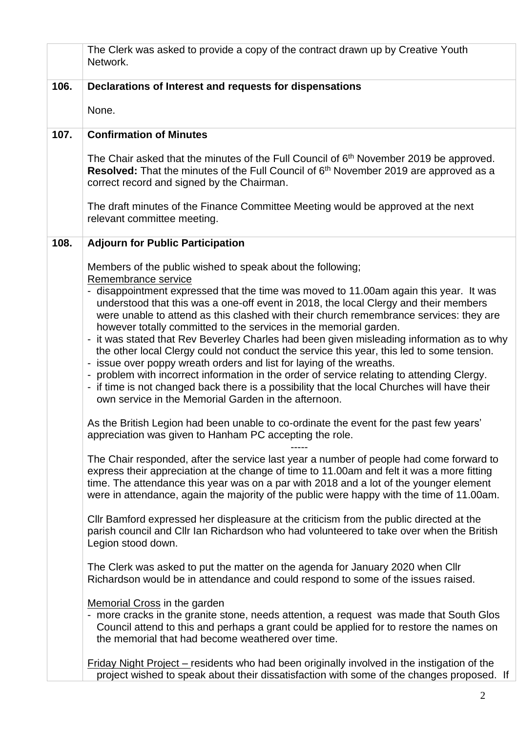|      | The Clerk was asked to provide a copy of the contract drawn up by Creative Youth<br>Network.                                                                                                                                                                                                                                                                                                                                                                                                                                                                                                                                                                                                                                                                                                                                                                                                |
|------|---------------------------------------------------------------------------------------------------------------------------------------------------------------------------------------------------------------------------------------------------------------------------------------------------------------------------------------------------------------------------------------------------------------------------------------------------------------------------------------------------------------------------------------------------------------------------------------------------------------------------------------------------------------------------------------------------------------------------------------------------------------------------------------------------------------------------------------------------------------------------------------------|
| 106. | Declarations of Interest and requests for dispensations                                                                                                                                                                                                                                                                                                                                                                                                                                                                                                                                                                                                                                                                                                                                                                                                                                     |
|      | None.                                                                                                                                                                                                                                                                                                                                                                                                                                                                                                                                                                                                                                                                                                                                                                                                                                                                                       |
| 107. | <b>Confirmation of Minutes</b>                                                                                                                                                                                                                                                                                                                                                                                                                                                                                                                                                                                                                                                                                                                                                                                                                                                              |
|      | The Chair asked that the minutes of the Full Council of 6 <sup>th</sup> November 2019 be approved.<br>Resolved: That the minutes of the Full Council of 6 <sup>th</sup> November 2019 are approved as a<br>correct record and signed by the Chairman.                                                                                                                                                                                                                                                                                                                                                                                                                                                                                                                                                                                                                                       |
|      | The draft minutes of the Finance Committee Meeting would be approved at the next<br>relevant committee meeting.                                                                                                                                                                                                                                                                                                                                                                                                                                                                                                                                                                                                                                                                                                                                                                             |
| 108. | <b>Adjourn for Public Participation</b>                                                                                                                                                                                                                                                                                                                                                                                                                                                                                                                                                                                                                                                                                                                                                                                                                                                     |
|      | Members of the public wished to speak about the following;                                                                                                                                                                                                                                                                                                                                                                                                                                                                                                                                                                                                                                                                                                                                                                                                                                  |
|      | Remembrance service<br>- disappointment expressed that the time was moved to 11.00am again this year. It was<br>understood that this was a one-off event in 2018, the local Clergy and their members<br>were unable to attend as this clashed with their church remembrance services: they are<br>however totally committed to the services in the memorial garden.<br>- it was stated that Rev Beverley Charles had been given misleading information as to why<br>the other local Clergy could not conduct the service this year, this led to some tension.<br>- issue over poppy wreath orders and list for laying of the wreaths.<br>- problem with incorrect information in the order of service relating to attending Clergy.<br>- if time is not changed back there is a possibility that the local Churches will have their<br>own service in the Memorial Garden in the afternoon. |
|      | As the British Legion had been unable to co-ordinate the event for the past few years'<br>appreciation was given to Hanham PC accepting the role.                                                                                                                                                                                                                                                                                                                                                                                                                                                                                                                                                                                                                                                                                                                                           |
|      | The Chair responded, after the service last year a number of people had come forward to<br>express their appreciation at the change of time to 11.00am and felt it was a more fitting<br>time. The attendance this year was on a par with 2018 and a lot of the younger element<br>were in attendance, again the majority of the public were happy with the time of 11.00am.                                                                                                                                                                                                                                                                                                                                                                                                                                                                                                                |
|      | CIIr Bamford expressed her displeasure at the criticism from the public directed at the<br>parish council and CIIr Ian Richardson who had volunteered to take over when the British<br>Legion stood down.                                                                                                                                                                                                                                                                                                                                                                                                                                                                                                                                                                                                                                                                                   |
|      | The Clerk was asked to put the matter on the agenda for January 2020 when Cllr<br>Richardson would be in attendance and could respond to some of the issues raised.                                                                                                                                                                                                                                                                                                                                                                                                                                                                                                                                                                                                                                                                                                                         |
|      | <b>Memorial Cross in the garden</b><br>- more cracks in the granite stone, needs attention, a request was made that South Glos<br>Council attend to this and perhaps a grant could be applied for to restore the names on<br>the memorial that had become weathered over time.                                                                                                                                                                                                                                                                                                                                                                                                                                                                                                                                                                                                              |
|      | Friday Night Project – residents who had been originally involved in the instigation of the<br>project wished to speak about their dissatisfaction with some of the changes proposed. If                                                                                                                                                                                                                                                                                                                                                                                                                                                                                                                                                                                                                                                                                                    |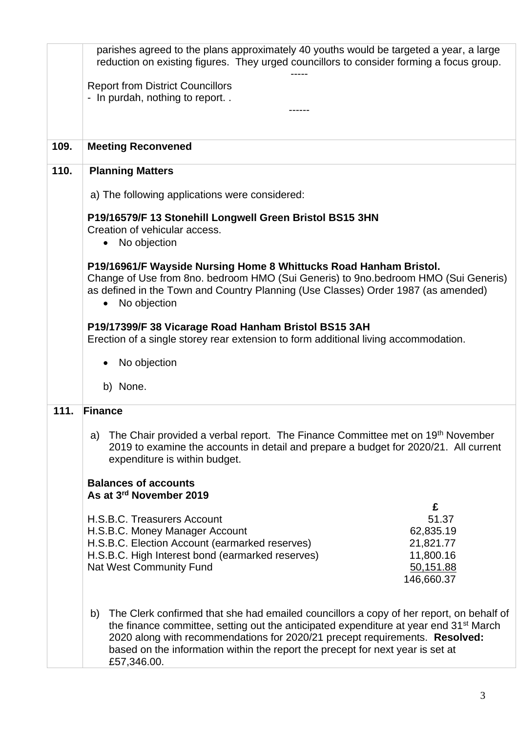|      | parishes agreed to the plans approximately 40 youths would be targeted a year, a large<br>reduction on existing figures. They urged councillors to consider forming a focus group.                                                                                                                                                                                                 |
|------|------------------------------------------------------------------------------------------------------------------------------------------------------------------------------------------------------------------------------------------------------------------------------------------------------------------------------------------------------------------------------------|
|      | <b>Report from District Councillors</b><br>- In purdah, nothing to report                                                                                                                                                                                                                                                                                                          |
|      |                                                                                                                                                                                                                                                                                                                                                                                    |
| 109. | <b>Meeting Reconvened</b>                                                                                                                                                                                                                                                                                                                                                          |
| 110. | <b>Planning Matters</b>                                                                                                                                                                                                                                                                                                                                                            |
|      | a) The following applications were considered:                                                                                                                                                                                                                                                                                                                                     |
|      | P19/16579/F 13 Stonehill Longwell Green Bristol BS15 3HN<br>Creation of vehicular access.<br>No objection<br>$\bullet$                                                                                                                                                                                                                                                             |
|      | P19/16961/F Wayside Nursing Home 8 Whittucks Road Hanham Bristol.<br>Change of Use from 8no. bedroom HMO (Sui Generis) to 9no.bedroom HMO (Sui Generis)<br>as defined in the Town and Country Planning (Use Classes) Order 1987 (as amended)<br>No objection                                                                                                                       |
|      | P19/17399/F 38 Vicarage Road Hanham Bristol BS15 3AH<br>Erection of a single storey rear extension to form additional living accommodation.                                                                                                                                                                                                                                        |
|      | No objection                                                                                                                                                                                                                                                                                                                                                                       |
|      | b) None.                                                                                                                                                                                                                                                                                                                                                                           |
| 111. | Finance                                                                                                                                                                                                                                                                                                                                                                            |
|      | The Chair provided a verbal report. The Finance Committee met on 19th November<br>a)<br>2019 to examine the accounts in detail and prepare a budget for 2020/21. All current<br>expenditure is within budget.                                                                                                                                                                      |
|      | <b>Balances of accounts</b><br>As at 3rd November 2019                                                                                                                                                                                                                                                                                                                             |
|      | £                                                                                                                                                                                                                                                                                                                                                                                  |
|      | H.S.B.C. Treasurers Account<br>51.37<br>H.S.B.C. Money Manager Account<br>62,835.19                                                                                                                                                                                                                                                                                                |
|      | H.S.B.C. Election Account (earmarked reserves)<br>21,821.77<br>H.S.B.C. High Interest bond (earmarked reserves)<br>11,800.16                                                                                                                                                                                                                                                       |
|      | <b>Nat West Community Fund</b><br>50,151.88<br>146,660.37                                                                                                                                                                                                                                                                                                                          |
|      | The Clerk confirmed that she had emailed councillors a copy of her report, on behalf of<br>b)<br>the finance committee, setting out the anticipated expenditure at year end 31 <sup>st</sup> March<br>2020 along with recommendations for 2020/21 precept requirements. Resolved:<br>based on the information within the report the precept for next year is set at<br>£57,346.00. |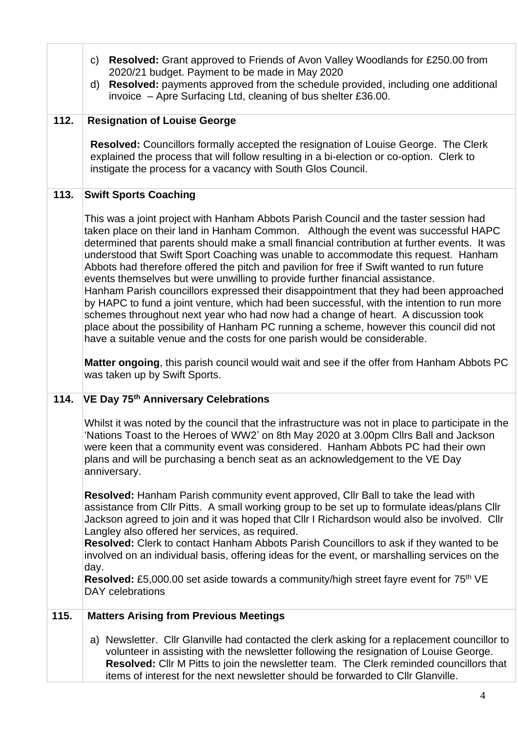|      | <b>Resolved:</b> Grant approved to Friends of Avon Valley Woodlands for £250.00 from<br>C)<br>2020/21 budget. Payment to be made in May 2020<br>Resolved: payments approved from the schedule provided, including one additional<br>d)<br>invoice - Apre Surfacing Ltd, cleaning of bus shelter £36.00.                                                                                                                                                                                                                                                                                                                                                                                                                                                                                                                                                                                                                                                                                                |
|------|--------------------------------------------------------------------------------------------------------------------------------------------------------------------------------------------------------------------------------------------------------------------------------------------------------------------------------------------------------------------------------------------------------------------------------------------------------------------------------------------------------------------------------------------------------------------------------------------------------------------------------------------------------------------------------------------------------------------------------------------------------------------------------------------------------------------------------------------------------------------------------------------------------------------------------------------------------------------------------------------------------|
| 112. | <b>Resignation of Louise George</b><br><b>Resolved:</b> Councillors formally accepted the resignation of Louise George. The Clerk<br>explained the process that will follow resulting in a bi-election or co-option. Clerk to<br>instigate the process for a vacancy with South Glos Council.                                                                                                                                                                                                                                                                                                                                                                                                                                                                                                                                                                                                                                                                                                          |
| 113. | <b>Swift Sports Coaching</b>                                                                                                                                                                                                                                                                                                                                                                                                                                                                                                                                                                                                                                                                                                                                                                                                                                                                                                                                                                           |
|      | This was a joint project with Hanham Abbots Parish Council and the taster session had<br>taken place on their land in Hanham Common. Although the event was successful HAPC<br>determined that parents should make a small financial contribution at further events. It was<br>understood that Swift Sport Coaching was unable to accommodate this request. Hanham<br>Abbots had therefore offered the pitch and pavilion for free if Swift wanted to run future<br>events themselves but were unwilling to provide further financial assistance.<br>Hanham Parish councillors expressed their disappointment that they had been approached<br>by HAPC to fund a joint venture, which had been successful, with the intention to run more<br>schemes throughout next year who had now had a change of heart. A discussion took<br>place about the possibility of Hanham PC running a scheme, however this council did not<br>have a suitable venue and the costs for one parish would be considerable. |
|      | Matter ongoing, this parish council would wait and see if the offer from Hanham Abbots PC<br>was taken up by Swift Sports.                                                                                                                                                                                                                                                                                                                                                                                                                                                                                                                                                                                                                                                                                                                                                                                                                                                                             |
| 114. | VE Day 75th Anniversary Celebrations                                                                                                                                                                                                                                                                                                                                                                                                                                                                                                                                                                                                                                                                                                                                                                                                                                                                                                                                                                   |
|      | Whilst it was noted by the council that the infrastructure was not in place to participate in the<br>'Nations Toast to the Heroes of WW2' on 8th May 2020 at 3.00pm Cllrs Ball and Jackson<br>were keen that a community event was considered. Hanham Abbots PC had their own<br>plans and will be purchasing a bench seat as an acknowledgement to the VE Day<br>anniversary.                                                                                                                                                                                                                                                                                                                                                                                                                                                                                                                                                                                                                         |
|      | <b>Resolved:</b> Hanham Parish community event approved, Cllr Ball to take the lead with<br>assistance from Cllr Pitts. A small working group to be set up to formulate ideas/plans Cllr<br>Jackson agreed to join and it was hoped that Cllr I Richardson would also be involved. Cllr<br>Langley also offered her services, as required.<br><b>Resolved:</b> Clerk to contact Hanham Abbots Parish Councillors to ask if they wanted to be<br>involved on an individual basis, offering ideas for the event, or marshalling services on the<br>day.<br><b>Resolved:</b> £5,000.00 set aside towards a community/high street fayre event for 75 <sup>th</sup> VE<br>DAY celebrations                                                                                                                                                                                                                                                                                                                  |
| 115. | <b>Matters Arising from Previous Meetings</b>                                                                                                                                                                                                                                                                                                                                                                                                                                                                                                                                                                                                                                                                                                                                                                                                                                                                                                                                                          |
|      | a) Newsletter. Cllr Glanville had contacted the clerk asking for a replacement councillor to<br>volunteer in assisting with the newsletter following the resignation of Louise George.<br>Resolved: Cllr M Pitts to join the newsletter team. The Clerk reminded councillors that<br>items of interest for the next newsletter should be forwarded to Cllr Glanville.                                                                                                                                                                                                                                                                                                                                                                                                                                                                                                                                                                                                                                  |